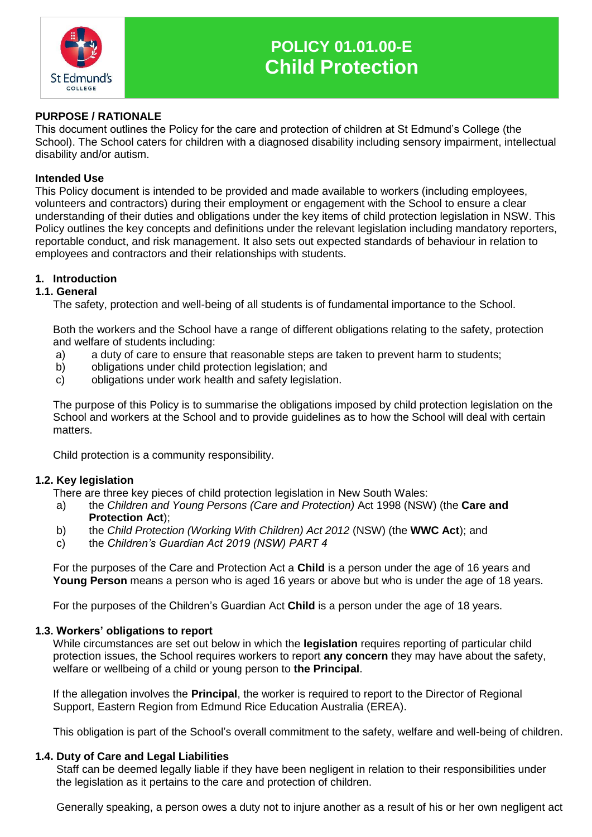

# **POLICY 01.01.00-E Child Protection**

## **PURPOSE / RATIONALE**

This document outlines the Policy for the care and protection of children at St Edmund's College (the School). The School caters for children with a diagnosed disability including sensory impairment, intellectual disability and/or autism.

#### **Intended Use**

This Policy document is intended to be provided and made available to workers (including employees, volunteers and contractors) during their employment or engagement with the School to ensure a clear understanding of their duties and obligations under the key items of child protection legislation in NSW. This Policy outlines the key concepts and definitions under the relevant legislation including mandatory reporters, reportable conduct, and risk management. It also sets out expected standards of behaviour in relation to employees and contractors and their relationships with students.

## **1. Introduction**

#### **1.1. General**

The safety, protection and well-being of all students is of fundamental importance to the School.

Both the workers and the School have a range of different obligations relating to the safety, protection and welfare of students including:

- a) a duty of care to ensure that reasonable steps are taken to prevent harm to students;
- b) obligations under child protection legislation; and
- c) obligations under work health and safety legislation.

The purpose of this Policy is to summarise the obligations imposed by child protection legislation on the School and workers at the School and to provide guidelines as to how the School will deal with certain matters.

Child protection is a community responsibility.

## **1.2. Key legislation**

There are three key pieces of child protection legislation in New South Wales:

- a) the *Children and Young Persons (Care and Protection)* Act 1998 (NSW) (the **Care and Protection Act**);
- b) the *Child Protection (Working With Children) Act 2012* (NSW) (the **WWC Act**); and
- c) the *Children's Guardian Act 2019 (NSW) PART 4*

For the purposes of the Care and Protection Act a **Child** is a person under the age of 16 years and **Young Person** means a person who is aged 16 years or above but who is under the age of 18 years.

For the purposes of the Children's Guardian Act **Child** is a person under the age of 18 years.

#### **1.3. Workers' obligations to report**

While circumstances are set out below in which the **legislation** requires reporting of particular child protection issues, the School requires workers to report **any concern** they may have about the safety, welfare or wellbeing of a child or young person to **the Principal**.

If the allegation involves the **Principal**, the worker is required to report to the Director of Regional Support, Eastern Region from Edmund Rice Education Australia (EREA).

This obligation is part of the School's overall commitment to the safety, welfare and well-being of children.

#### **1.4. Duty of Care and Legal Liabilities**

Staff can be deemed legally liable if they have been negligent in relation to their responsibilities under the legislation as it pertains to the care and protection of children.

Generally speaking, a person owes a duty not to injure another as a result of his or her own negligent act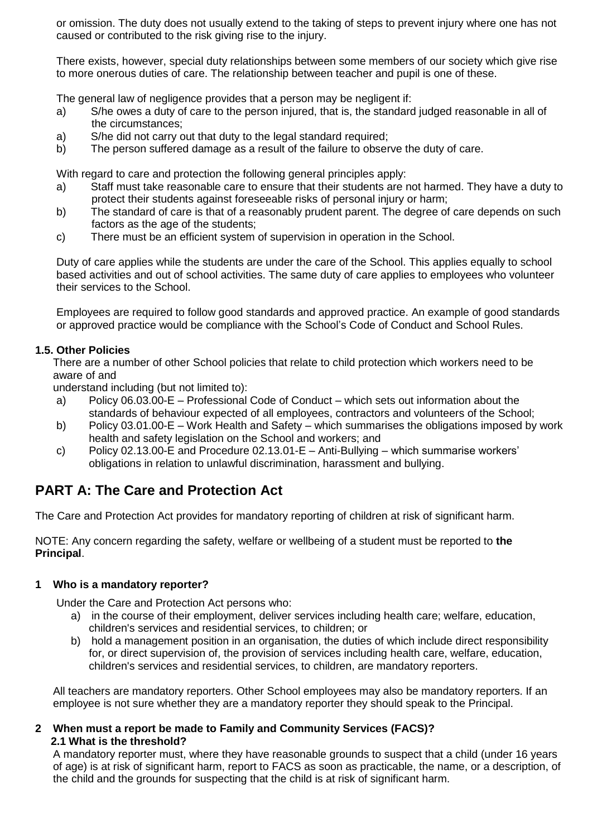or omission. The duty does not usually extend to the taking of steps to prevent injury where one has not caused or contributed to the risk giving rise to the injury.

There exists, however, special duty relationships between some members of our society which give rise to more onerous duties of care. The relationship between teacher and pupil is one of these.

The general law of negligence provides that a person may be negligent if:

- a) S/he owes a duty of care to the person injured, that is, the standard judged reasonable in all of the circumstances;
- a) S/he did not carry out that duty to the legal standard required;
- b) The person suffered damage as a result of the failure to observe the duty of care.

With regard to care and protection the following general principles apply:

- a) Staff must take reasonable care to ensure that their students are not harmed. They have a duty to protect their students against foreseeable risks of personal injury or harm;
- b) The standard of care is that of a reasonably prudent parent. The degree of care depends on such factors as the age of the students;
- c) There must be an efficient system of supervision in operation in the School.

Duty of care applies while the students are under the care of the School. This applies equally to school based activities and out of school activities. The same duty of care applies to employees who volunteer their services to the School.

Employees are required to follow good standards and approved practice. An example of good standards or approved practice would be compliance with the School's Code of Conduct and School Rules.

## **1.5. Other Policies**

There are a number of other School policies that relate to child protection which workers need to be aware of and

understand including (but not limited to):

- a) Policy 06.03.00-E Professional Code of Conduct which sets out information about the standards of behaviour expected of all employees, contractors and volunteers of the School;
- b) Policy 03.01.00-E Work Health and Safety which summarises the obligations imposed by work health and safety legislation on the School and workers; and
- c) Policy 02.13.00-E and Procedure 02.13.01-E Anti-Bullying which summarise workers' obligations in relation to unlawful discrimination, harassment and bullying.

## **PART A: The Care and Protection Act**

The Care and Protection Act provides for mandatory reporting of children at risk of significant harm.

NOTE: Any concern regarding the safety, welfare or wellbeing of a student must be reported to **the Principal**.

## **1 Who is a mandatory reporter?**

Under the Care and Protection Act persons who:

- a) in the course of their employment, deliver services including health care; welfare, education, children's services and residential services, to children; or
- b) hold a management position in an organisation, the duties of which include direct responsibility for, or direct supervision of, the provision of services including health care, welfare, education, children's services and residential services, to children, are mandatory reporters.

All teachers are mandatory reporters. Other School employees may also be mandatory reporters. If an employee is not sure whether they are a mandatory reporter they should speak to the Principal.

## **2 When must a report be made to Family and Community Services (FACS)? 2.1 What is the threshold?**

A mandatory reporter must, where they have reasonable grounds to suspect that a child (under 16 years of age) is at risk of significant harm, report to FACS as soon as practicable, the name, or a description, of the child and the grounds for suspecting that the child is at risk of significant harm.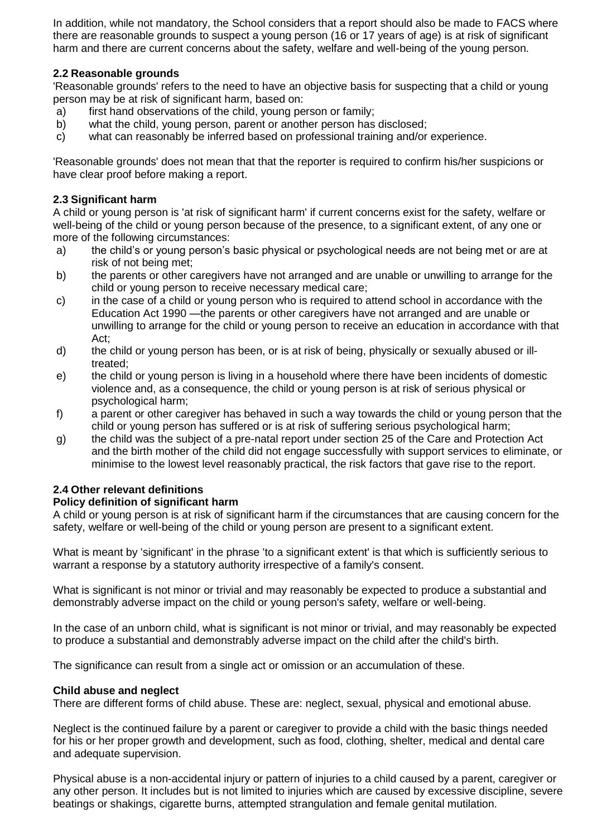In addition, while not mandatory, the School considers that a report should also be made to FACS where there are reasonable grounds to suspect a young person (16 or 17 years of age) is at risk of significant harm and there are current concerns about the safety, welfare and well-being of the young person.

## **2.2 Reasonable grounds**

'Reasonable grounds' refers to the need to have an objective basis for suspecting that a child or young person may be at risk of significant harm, based on:

- a) first hand observations of the child, young person or family;
- b) what the child, young person, parent or another person has disclosed;
- c) what can reasonably be inferred based on professional training and/or experience.

'Reasonable grounds' does not mean that that the reporter is required to confirm his/her suspicions or have clear proof before making a report.

#### **2.3 Significant harm**

A child or young person is 'at risk of significant harm' if current concerns exist for the safety, welfare or well-being of the child or young person because of the presence, to a significant extent, of any one or more of the following circumstances:

- a) the child's or young person's basic physical or psychological needs are not being met or are at risk of not being met;
- b) the parents or other caregivers have not arranged and are unable or unwilling to arrange for the child or young person to receive necessary medical care;
- c) in the case of a child or young person who is required to attend school in accordance with the Education Act 1990 —the parents or other caregivers have not arranged and are unable or unwilling to arrange for the child or young person to receive an education in accordance with that Act;
- d) the child or young person has been, or is at risk of being, physically or sexually abused or illtreated;
- e) the child or young person is living in a household where there have been incidents of domestic violence and, as a consequence, the child or young person is at risk of serious physical or psychological harm;
- f) a parent or other caregiver has behaved in such a way towards the child or young person that the child or young person has suffered or is at risk of suffering serious psychological harm;
- g) the child was the subject of a pre-natal report under section 25 of the Care and Protection Act and the birth mother of the child did not engage successfully with support services to eliminate, or minimise to the lowest level reasonably practical, the risk factors that gave rise to the report.

## **2.4 Other relevant definitions**

## **Policy definition of significant harm**

A child or young person is at risk of significant harm if the circumstances that are causing concern for the safety, welfare or well-being of the child or young person are present to a significant extent.

What is meant by 'significant' in the phrase 'to a significant extent' is that which is sufficiently serious to warrant a response by a statutory authority irrespective of a family's consent.

What is significant is not minor or trivial and may reasonably be expected to produce a substantial and demonstrably adverse impact on the child or young person's safety, welfare or well-being.

In the case of an unborn child, what is significant is not minor or trivial, and may reasonably be expected to produce a substantial and demonstrably adverse impact on the child after the child's birth.

The significance can result from a single act or omission or an accumulation of these.

#### **Child abuse and neglect**

There are different forms of child abuse. These are: neglect, sexual, physical and emotional abuse.

Neglect is the continued failure by a parent or caregiver to provide a child with the basic things needed for his or her proper growth and development, such as food, clothing, shelter, medical and dental care and adequate supervision.

Physical abuse is a non-accidental injury or pattern of injuries to a child caused by a parent, caregiver or any other person. It includes but is not limited to injuries which are caused by excessive discipline, severe beatings or shakings, cigarette burns, attempted strangulation and female genital mutilation.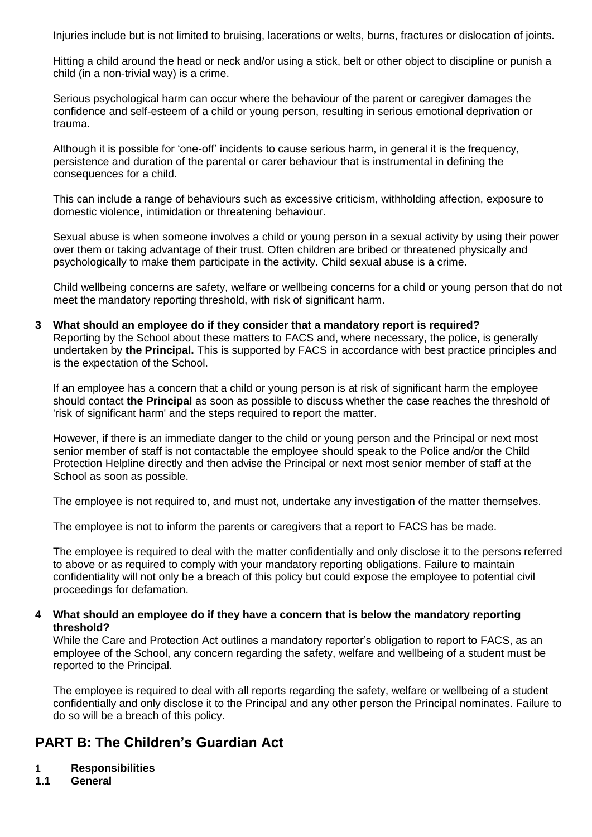Injuries include but is not limited to bruising, lacerations or welts, burns, fractures or dislocation of joints.

Hitting a child around the head or neck and/or using a stick, belt or other object to discipline or punish a child (in a non-trivial way) is a crime.

Serious psychological harm can occur where the behaviour of the parent or caregiver damages the confidence and self-esteem of a child or young person, resulting in serious emotional deprivation or trauma.

Although it is possible for 'one-off' incidents to cause serious harm, in general it is the frequency, persistence and duration of the parental or carer behaviour that is instrumental in defining the consequences for a child.

This can include a range of behaviours such as excessive criticism, withholding affection, exposure to domestic violence, intimidation or threatening behaviour.

Sexual abuse is when someone involves a child or young person in a sexual activity by using their power over them or taking advantage of their trust. Often children are bribed or threatened physically and psychologically to make them participate in the activity. Child sexual abuse is a crime.

Child wellbeing concerns are safety, welfare or wellbeing concerns for a child or young person that do not meet the mandatory reporting threshold, with risk of significant harm.

#### **3 What should an employee do if they consider that a mandatory report is required?** Reporting by the School about these matters to FACS and, where necessary, the police, is generally undertaken by **the Principal.** This is supported by FACS in accordance with best practice principles and is the expectation of the School.

If an employee has a concern that a child or young person is at risk of significant harm the employee should contact **the Principal** as soon as possible to discuss whether the case reaches the threshold of 'risk of significant harm' and the steps required to report the matter.

However, if there is an immediate danger to the child or young person and the Principal or next most senior member of staff is not contactable the employee should speak to the Police and/or the Child Protection Helpline directly and then advise the Principal or next most senior member of staff at the School as soon as possible.

The employee is not required to, and must not, undertake any investigation of the matter themselves.

The employee is not to inform the parents or caregivers that a report to FACS has be made.

The employee is required to deal with the matter confidentially and only disclose it to the persons referred to above or as required to comply with your mandatory reporting obligations. Failure to maintain confidentiality will not only be a breach of this policy but could expose the employee to potential civil proceedings for defamation.

## **4 What should an employee do if they have a concern that is below the mandatory reporting threshold?**

While the Care and Protection Act outlines a mandatory reporter's obligation to report to FACS, as an employee of the School, any concern regarding the safety, welfare and wellbeing of a student must be reported to the Principal.

The employee is required to deal with all reports regarding the safety, welfare or wellbeing of a student confidentially and only disclose it to the Principal and any other person the Principal nominates. Failure to do so will be a breach of this policy.

# **PART B: The Children's Guardian Act**

**1 Responsibilities**

## **1.1 General**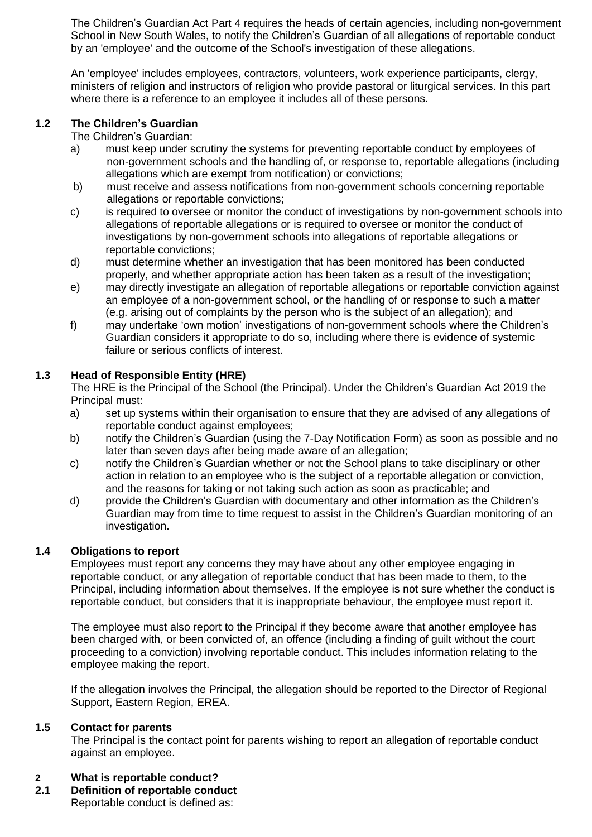The Children's Guardian Act Part 4 requires the heads of certain agencies, including non-government School in New South Wales, to notify the Children's Guardian of all allegations of reportable conduct by an 'employee' and the outcome of the School's investigation of these allegations.

An 'employee' includes employees, contractors, volunteers, work experience participants, clergy, ministers of religion and instructors of religion who provide pastoral or liturgical services. In this part where there is a reference to an employee it includes all of these persons.

## **1.2 The Children's Guardian**

The Children's Guardian:

- a) must keep under scrutiny the systems for preventing reportable conduct by employees of non-government schools and the handling of, or response to, reportable allegations (including allegations which are exempt from notification) or convictions;
- b) must receive and assess notifications from non-government schools concerning reportable allegations or reportable convictions;
- c) is required to oversee or monitor the conduct of investigations by non-government schools into allegations of reportable allegations or is required to oversee or monitor the conduct of investigations by non-government schools into allegations of reportable allegations or reportable convictions;
- d) must determine whether an investigation that has been monitored has been conducted properly, and whether appropriate action has been taken as a result of the investigation;
- e) may directly investigate an allegation of reportable allegations or reportable conviction against an employee of a non-government school, or the handling of or response to such a matter (e.g. arising out of complaints by the person who is the subject of an allegation); and
- f) may undertake 'own motion' investigations of non-government schools where the Children's Guardian considers it appropriate to do so, including where there is evidence of systemic failure or serious conflicts of interest.

## **1.3 Head of Responsible Entity (HRE)**

The HRE is the Principal of the School (the Principal). Under the Children's Guardian Act 2019 the Principal must:

- a) set up systems within their organisation to ensure that they are advised of any allegations of reportable conduct against employees;
- b) notify the Children's Guardian (using the 7-Day Notification Form) as soon as possible and no later than seven days after being made aware of an allegation;
- c) notify the Children's Guardian whether or not the School plans to take disciplinary or other action in relation to an employee who is the subject of a reportable allegation or conviction, and the reasons for taking or not taking such action as soon as practicable; and
- d) provide the Children's Guardian with documentary and other information as the Children's Guardian may from time to time request to assist in the Children's Guardian monitoring of an investigation.

## **1.4 Obligations to report**

Employees must report any concerns they may have about any other employee engaging in reportable conduct, or any allegation of reportable conduct that has been made to them, to the Principal, including information about themselves. If the employee is not sure whether the conduct is reportable conduct, but considers that it is inappropriate behaviour, the employee must report it.

The employee must also report to the Principal if they become aware that another employee has been charged with, or been convicted of, an offence (including a finding of guilt without the court proceeding to a conviction) involving reportable conduct. This includes information relating to the employee making the report.

If the allegation involves the Principal, the allegation should be reported to the Director of Regional Support, Eastern Region, EREA.

## **1.5 Contact for parents**

The Principal is the contact point for parents wishing to report an allegation of reportable conduct against an employee.

## **2 What is reportable conduct?**

**2.1 Definition of reportable conduct**

Reportable conduct is defined as: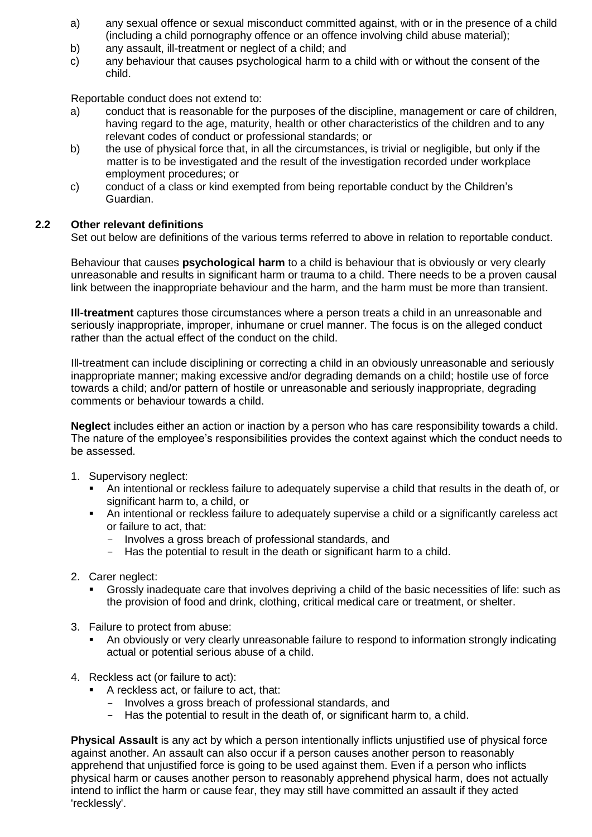- a) any sexual offence or sexual misconduct committed against, with or in the presence of a child (including a child pornography offence or an offence involving child abuse material);
- b) any assault, ill-treatment or neglect of a child; and
- c) any behaviour that causes psychological harm to a child with or without the consent of the child.

Reportable conduct does not extend to:

- a) conduct that is reasonable for the purposes of the discipline, management or care of children, having regard to the age, maturity, health or other characteristics of the children and to any relevant codes of conduct or professional standards; or
- b) the use of physical force that, in all the circumstances, is trivial or negligible, but only if the matter is to be investigated and the result of the investigation recorded under workplace employment procedures; or
- c) conduct of a class or kind exempted from being reportable conduct by the Children's Guardian.

## **2.2 Other relevant definitions**

Set out below are definitions of the various terms referred to above in relation to reportable conduct.

Behaviour that causes **psychological harm** to a child is behaviour that is obviously or very clearly unreasonable and results in significant harm or trauma to a child. There needs to be a proven causal link between the inappropriate behaviour and the harm, and the harm must be more than transient.

**Ill-treatment** captures those circumstances where a person treats a child in an unreasonable and seriously inappropriate, improper, inhumane or cruel manner. The focus is on the alleged conduct rather than the actual effect of the conduct on the child.

Ill-treatment can include disciplining or correcting a child in an obviously unreasonable and seriously inappropriate manner; making excessive and/or degrading demands on a child; hostile use of force towards a child; and/or pattern of hostile or unreasonable and seriously inappropriate, degrading comments or behaviour towards a child.

**Neglect** includes either an action or inaction by a person who has care responsibility towards a child. The nature of the employee's responsibilities provides the context against which the conduct needs to be assessed.

- 1. Supervisory neglect:
	- An intentional or reckless failure to adequately supervise a child that results in the death of, or significant harm to, a child, or
	- An intentional or reckless failure to adequately supervise a child or a significantly careless act or failure to act, that:
		- Involves a gross breach of professional standards, and
		- Has the potential to result in the death or significant harm to a child.
- 2. Carer neglect:
	- Grossly inadequate care that involves depriving a child of the basic necessities of life: such as the provision of food and drink, clothing, critical medical care or treatment, or shelter.
- 3. Failure to protect from abuse:
	- An obviously or very clearly unreasonable failure to respond to information strongly indicating actual or potential serious abuse of a child.
- 4. Reckless act (or failure to act):
	- A reckless act, or failure to act, that:
		- Involves a gross breach of professional standards, and
		- Has the potential to result in the death of, or significant harm to, a child.

**Physical Assault** is any act by which a person intentionally inflicts unjustified use of physical force against another. An assault can also occur if a person causes another person to reasonably apprehend that unjustified force is going to be used against them. Even if a person who inflicts physical harm or causes another person to reasonably apprehend physical harm, does not actually intend to inflict the harm or cause fear, they may still have committed an assault if they acted 'recklessly'.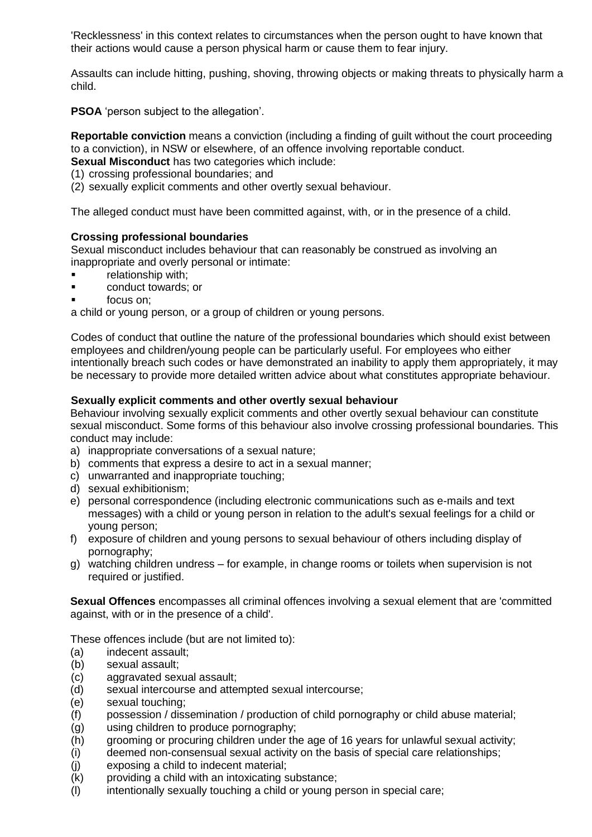'Recklessness' in this context relates to circumstances when the person ought to have known that their actions would cause a person physical harm or cause them to fear injury.

Assaults can include hitting, pushing, shoving, throwing objects or making threats to physically harm a child.

**PSOA** 'person subject to the allegation'.

**Reportable conviction** means a conviction (including a finding of guilt without the court proceeding to a conviction), in NSW or elsewhere, of an offence involving reportable conduct.

**Sexual Misconduct** has two categories which include:

- (1) crossing professional boundaries; and
- (2) sexually explicit comments and other overtly sexual behaviour.

The alleged conduct must have been committed against, with, or in the presence of a child.

## **Crossing professional boundaries**

Sexual misconduct includes behaviour that can reasonably be construed as involving an inappropriate and overly personal or intimate:

- relationship with;
- conduct towards; or
- focus on;

a child or young person, or a group of children or young persons.

Codes of conduct that outline the nature of the professional boundaries which should exist between employees and children/young people can be particularly useful. For employees who either intentionally breach such codes or have demonstrated an inability to apply them appropriately, it may be necessary to provide more detailed written advice about what constitutes appropriate behaviour.

## **Sexually explicit comments and other overtly sexual behaviour**

Behaviour involving sexually explicit comments and other overtly sexual behaviour can constitute sexual misconduct. Some forms of this behaviour also involve crossing professional boundaries. This conduct may include:

- a) inappropriate conversations of a sexual nature;
- b) comments that express a desire to act in a sexual manner;
- c) unwarranted and inappropriate touching;
- d) sexual exhibitionism;
- e) personal correspondence (including electronic communications such as e-mails and text messages) with a child or young person in relation to the adult's sexual feelings for a child or young person;
- f) exposure of children and young persons to sexual behaviour of others including display of pornography;
- g) watching children undress for example, in change rooms or toilets when supervision is not required or justified.

**Sexual Offences** encompasses all criminal offences involving a sexual element that are 'committed against, with or in the presence of a child'.

These offences include (but are not limited to):

- (a) indecent assault;
- (b) sexual assault;
- (c) aggravated sexual assault;
- (d) sexual intercourse and attempted sexual intercourse;
- (e) sexual touching;
- (f) possession / dissemination / production of child pornography or child abuse material;
- (g) using children to produce pornography;
- (h) grooming or procuring children under the age of 16 years for unlawful sexual activity;
- (i) deemed non-consensual sexual activity on the basis of special care relationships;
- (j) exposing a child to indecent material;
- (k) providing a child with an intoxicating substance;
- (l) intentionally sexually touching a child or young person in special care;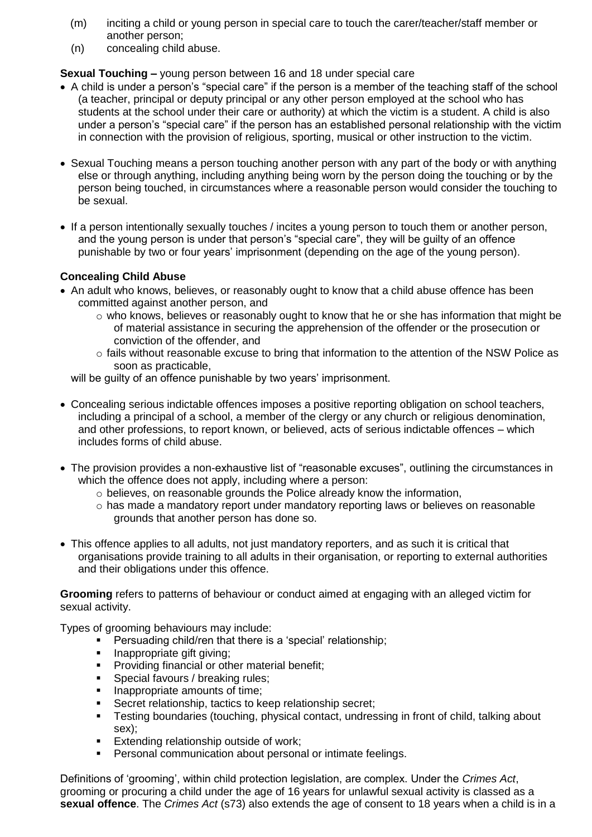- (m) inciting a child or young person in special care to touch the carer/teacher/staff member or another person;
- (n) concealing child abuse.

## **Sexual Touching –** young person between 16 and 18 under special care

- A child is under a person's "special care" if the person is a member of the teaching staff of the school (a teacher, principal or deputy principal or any other person employed at the school who has students at the school under their care or authority) at which the victim is a student. A child is also under a person's "special care" if the person has an established personal relationship with the victim in connection with the provision of religious, sporting, musical or other instruction to the victim.
- Sexual Touching means a person touching another person with any part of the body or with anything else or through anything, including anything being worn by the person doing the touching or by the person being touched, in circumstances where a reasonable person would consider the touching to be sexual.
- If a person intentionally sexually touches / incites a young person to touch them or another person, and the young person is under that person's "special care", they will be guilty of an offence punishable by two or four years' imprisonment (depending on the age of the young person).

## **Concealing Child Abuse**

- An adult who knows, believes, or reasonably ought to know that a child abuse offence has been committed against another person, and
	- o who knows, believes or reasonably ought to know that he or she has information that might be of material assistance in securing the apprehension of the offender or the prosecution or conviction of the offender, and
	- o fails without reasonable excuse to bring that information to the attention of the NSW Police as soon as practicable,

will be guilty of an offence punishable by two years' imprisonment.

- Concealing serious indictable offences imposes a positive reporting obligation on school teachers, including a principal of a school, a member of the clergy or any church or religious denomination, and other professions, to report known, or believed, acts of serious indictable offences – which includes forms of child abuse.
- The provision provides a non-exhaustive list of "reasonable excuses", outlining the circumstances in which the offence does not apply, including where a person:
	- o believes, on reasonable grounds the Police already know the information,
	- o has made a mandatory report under mandatory reporting laws or believes on reasonable grounds that another person has done so.
- This offence applies to all adults, not just mandatory reporters, and as such it is critical that organisations provide training to all adults in their organisation, or reporting to external authorities and their obligations under this offence.

**Grooming** refers to patterns of behaviour or conduct aimed at engaging with an alleged victim for sexual activity.

Types of grooming behaviours may include:

- Persuading child/ren that there is a 'special' relationship;
- Inappropriate gift giving;
- **Providing financial or other material benefit;**
- Special favours / breaking rules;
- Inappropriate amounts of time;
- Secret relationship, tactics to keep relationship secret;
- Testing boundaries (touching, physical contact, undressing in front of child, talking about sex);
- **Extending relationship outside of work;**
- Personal communication about personal or intimate feelings.

Definitions of 'grooming', within child protection legislation, are complex. Under the *Crimes Act*, grooming or procuring a child under the age of 16 years for unlawful sexual activity is classed as a **sexual offence**. The *Crimes Act* (s73) also extends the age of consent to 18 years when a child is in a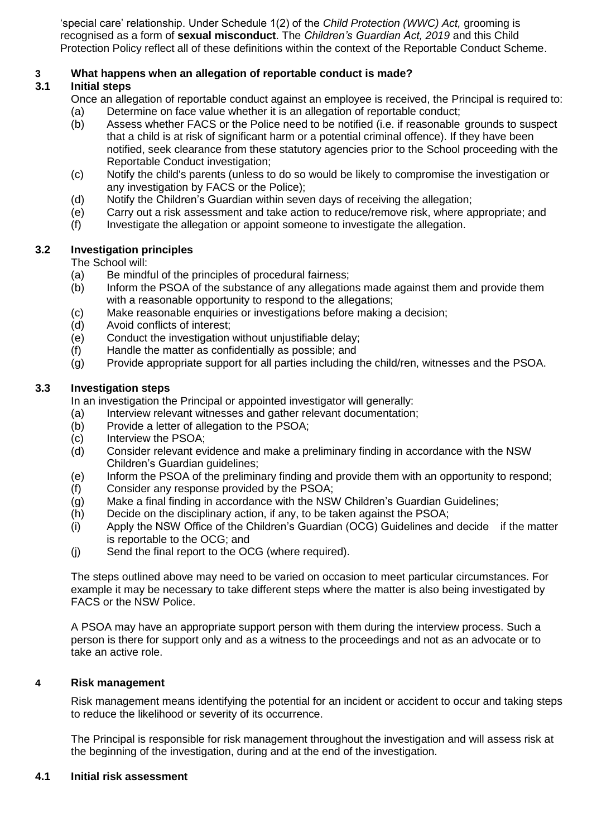'special care' relationship. Under Schedule 1(2) of the *Child Protection (WWC) Act,* grooming is recognised as a form of **sexual misconduct**. The *Children's Guardian Act, 2019* and this Child Protection Policy reflect all of these definitions within the context of the Reportable Conduct Scheme.

# **3 What happens when an allegation of reportable conduct is made?**

## **3.1 Initial steps**

- Once an allegation of reportable conduct against an employee is received, the Principal is required to: (a) Determine on face value whether it is an allegation of reportable conduct;
- (b) Assess whether FACS or the Police need to be notified (i.e. if reasonable grounds to suspect that a child is at risk of significant harm or a potential criminal offence). If they have been notified, seek clearance from these statutory agencies prior to the School proceeding with the Reportable Conduct investigation;
- (c) Notify the child's parents (unless to do so would be likely to compromise the investigation or any investigation by FACS or the Police);
- (d) Notify the Children's Guardian within seven days of receiving the allegation;
- (e) Carry out a risk assessment and take action to reduce/remove risk, where appropriate; and
- (f) Investigate the allegation or appoint someone to investigate the allegation.

## **3.2 Investigation principles**

The School will:

- (a) Be mindful of the principles of procedural fairness;
- (b) Inform the PSOA of the substance of any allegations made against them and provide them with a reasonable opportunity to respond to the allegations;
- (c) Make reasonable enquiries or investigations before making a decision;
- (d) Avoid conflicts of interest;
- (e) Conduct the investigation without unjustifiable delay;
- (f) Handle the matter as confidentially as possible; and
- (g) Provide appropriate support for all parties including the child/ren, witnesses and the PSOA.

## **3.3 Investigation steps**

In an investigation the Principal or appointed investigator will generally:

- (a) Interview relevant witnesses and gather relevant documentation;
- (b) Provide a letter of allegation to the PSOA;
- (c) Interview the PSOA;
- (d) Consider relevant evidence and make a preliminary finding in accordance with the NSW Children's Guardian guidelines;
- (e) Inform the PSOA of the preliminary finding and provide them with an opportunity to respond;
- (f) Consider any response provided by the PSOA;
- (g) Make a final finding in accordance with the NSW Children's Guardian Guidelines;
- (h) Decide on the disciplinary action, if any, to be taken against the PSOA;
- (i) Apply the NSW Office of the Children's Guardian (OCG) Guidelines and decide if the matter is reportable to the OCG; and
- (j) Send the final report to the OCG (where required).

The steps outlined above may need to be varied on occasion to meet particular circumstances. For example it may be necessary to take different steps where the matter is also being investigated by FACS or the NSW Police.

A PSOA may have an appropriate support person with them during the interview process. Such a person is there for support only and as a witness to the proceedings and not as an advocate or to take an active role.

## **4 Risk management**

Risk management means identifying the potential for an incident or accident to occur and taking steps to reduce the likelihood or severity of its occurrence.

The Principal is responsible for risk management throughout the investigation and will assess risk at the beginning of the investigation, during and at the end of the investigation.

## **4.1 Initial risk assessment**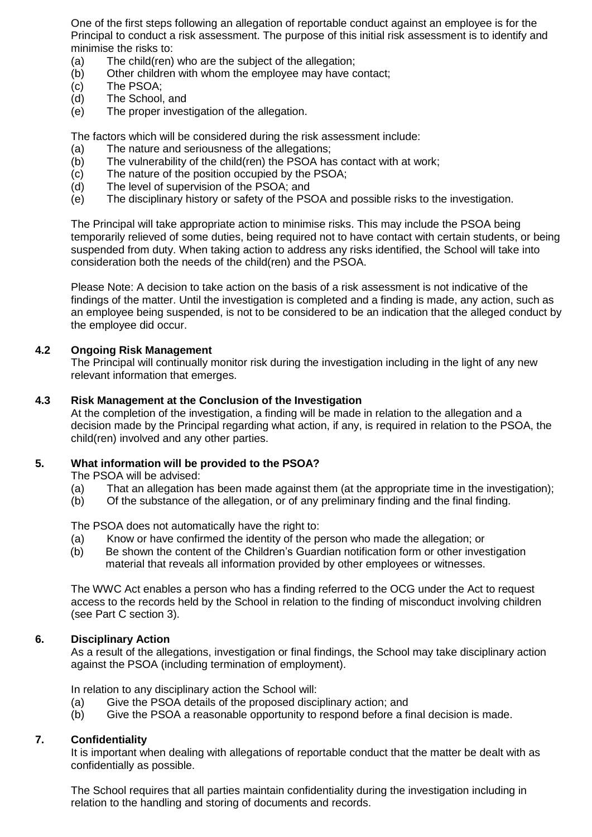One of the first steps following an allegation of reportable conduct against an employee is for the Principal to conduct a risk assessment. The purpose of this initial risk assessment is to identify and minimise the risks to:

- (a) The child(ren) who are the subject of the allegation;
- (b) Other children with whom the employee may have contact;
- (c) The PSOA;
- (d) The School, and
- (e) The proper investigation of the allegation.

The factors which will be considered during the risk assessment include:

- (a) The nature and seriousness of the allegations;
- (b) The vulnerability of the child(ren) the PSOA has contact with at work;
- (c) The nature of the position occupied by the PSOA;
- (d) The level of supervision of the PSOA; and
- (e) The disciplinary history or safety of the PSOA and possible risks to the investigation.

The Principal will take appropriate action to minimise risks. This may include the PSOA being temporarily relieved of some duties, being required not to have contact with certain students, or being suspended from duty. When taking action to address any risks identified, the School will take into consideration both the needs of the child(ren) and the PSOA.

Please Note: A decision to take action on the basis of a risk assessment is not indicative of the findings of the matter. Until the investigation is completed and a finding is made, any action, such as an employee being suspended, is not to be considered to be an indication that the alleged conduct by the employee did occur.

#### **4.2 Ongoing Risk Management**

The Principal will continually monitor risk during the investigation including in the light of any new relevant information that emerges.

#### **4.3 Risk Management at the Conclusion of the Investigation**

At the completion of the investigation, a finding will be made in relation to the allegation and a decision made by the Principal regarding what action, if any, is required in relation to the PSOA, the child(ren) involved and any other parties.

## **5. What information will be provided to the PSOA?**

The PSOA will be advised:

- (a) That an allegation has been made against them (at the appropriate time in the investigation);
- (b) Of the substance of the allegation, or of any preliminary finding and the final finding.

The PSOA does not automatically have the right to:

- (a) Know or have confirmed the identity of the person who made the allegation; or
- (b) Be shown the content of the Children's Guardian notification form or other investigation material that reveals all information provided by other employees or witnesses.

The WWC Act enables a person who has a finding referred to the OCG under the Act to request access to the records held by the School in relation to the finding of misconduct involving children (see Part C section 3).

#### **6. Disciplinary Action**

As a result of the allegations, investigation or final findings, the School may take disciplinary action against the PSOA (including termination of employment).

In relation to any disciplinary action the School will:

- (a) Give the PSOA details of the proposed disciplinary action; and
- (b) Give the PSOA a reasonable opportunity to respond before a final decision is made.

## **7. Confidentiality**

It is important when dealing with allegations of reportable conduct that the matter be dealt with as confidentially as possible.

The School requires that all parties maintain confidentiality during the investigation including in relation to the handling and storing of documents and records.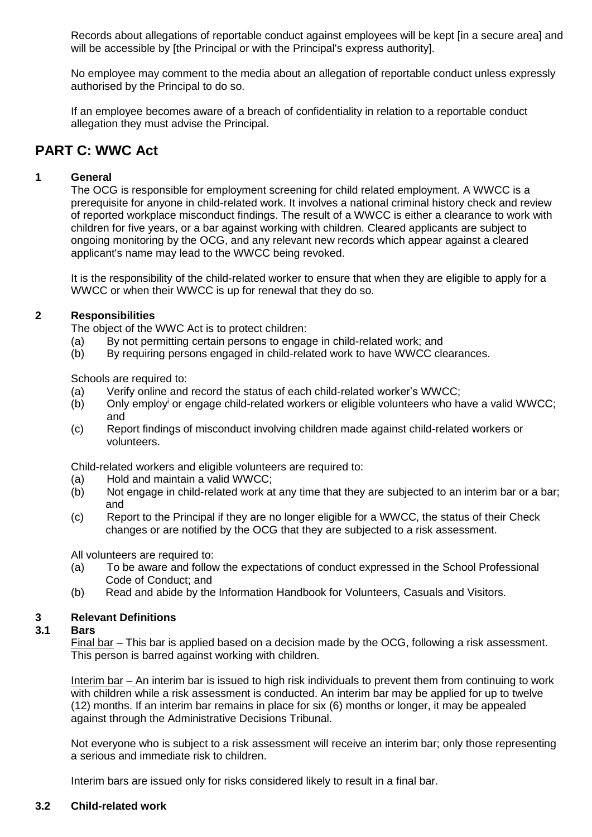Records about allegations of reportable conduct against employees will be kept [in a secure area] and will be accessible by [the Principal or with the Principal's express authority].

No employee may comment to the media about an allegation of reportable conduct unless expressly authorised by the Principal to do so.

If an employee becomes aware of a breach of confidentiality in relation to a reportable conduct allegation they must advise the Principal.

## **PART C: WWC Act**

## **1 General**

The OCG is responsible for employment screening for child related employment. A WWCC is a prerequisite for anyone in child-related work. It involves a national criminal history check and review of reported workplace misconduct findings. The result of a WWCC is either a clearance to work with children for five years, or a bar against working with children. Cleared applicants are subject to ongoing monitoring by the OCG, and any relevant new records which appear against a cleared applicant's name may lead to the WWCC being revoked.

It is the responsibility of the child-related worker to ensure that when they are eligible to apply for a WWCC or when their WWCC is up for renewal that they do so.

## **2 Responsibilities**

The object of the WWC Act is to protect children:

- (a) By not permitting certain persons to engage in child-related work; and
- (b) By requiring persons engaged in child-related work to have WWCC clearances.

Schools are required to:

- (a) Verify online and record the status of each child-related worker's WWCC;
- (b) Only employ<sup>i</sup> or engage child-related workers or eligible volunteers who have a valid WWCC; and
- (c) Report findings of misconduct involving children made against child-related workers or volunteers.

Child-related workers and eligible volunteers are required to:

- (a) Hold and maintain a valid WWCC;
- (b) Not engage in child-related work at any time that they are subjected to an interim bar or a bar; and
- (c) Report to the Principal if they are no longer eligible for a WWCC, the status of their Check changes or are notified by the OCG that they are subjected to a risk assessment.

All volunteers are required to:

- (a) To be aware and follow the expectations of conduct expressed in the School Professional Code of Conduct; and
- (b) Read and abide by the Information Handbook for Volunteers, Casuals and Visitors.

## **3 Relevant Definitions**

## **3.1 Bars**

Final bar – This bar is applied based on a decision made by the OCG, following a risk assessment. This person is barred against working with children.

Interim bar – An interim bar is issued to high risk individuals to prevent them from continuing to work with children while a risk assessment is conducted. An interim bar may be applied for up to twelve (12) months. If an interim bar remains in place for six (6) months or longer, it may be appealed against through the Administrative Decisions Tribunal.

Not everyone who is subject to a risk assessment will receive an interim bar; only those representing a serious and immediate risk to children.

Interim bars are issued only for risks considered likely to result in a final bar.

#### **3.2 Child-related work**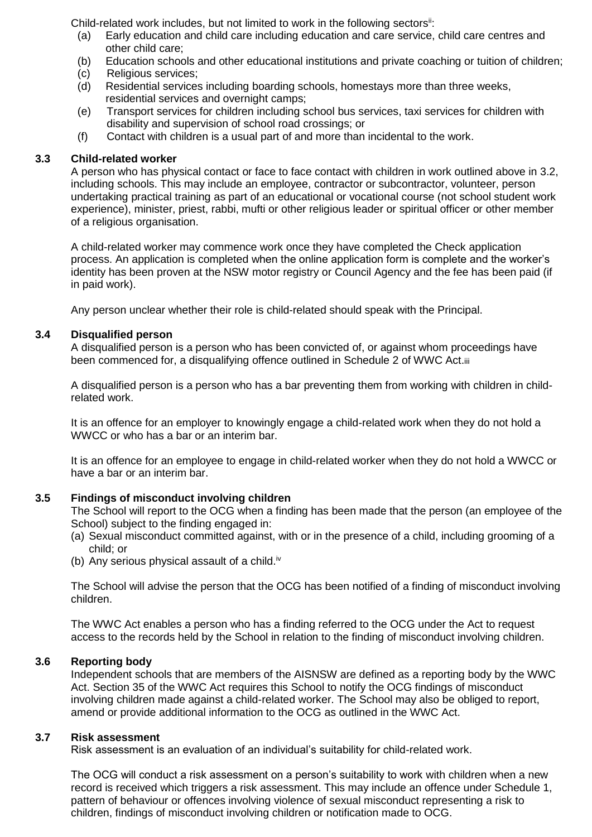Child-related work includes, but not limited to work in the following sectors<sup>ii</sup>:

- (a) Early education and child care including education and care service, child care centres and other child care;
- (b) Education schools and other educational institutions and private coaching or tuition of children;
- (c) Religious services;
- (d) Residential services including boarding schools, homestays more than three weeks, residential services and overnight camps;
- (e) Transport services for children including school bus services, taxi services for children with disability and supervision of school road crossings; or
- (f) Contact with children is a usual part of and more than incidental to the work.

## **3.3 Child-related worker**

A person who has physical contact or face to face contact with children in work outlined above in 3.2, including schools. This may include an employee, contractor or subcontractor, volunteer, person undertaking practical training as part of an educational or vocational course (not school student work experience), minister, priest, rabbi, mufti or other religious leader or spiritual officer or other member of a religious organisation.

A child-related worker may commence work once they have completed the Check application process. An application is completed when the online application form is complete and the worker's identity has been proven at the NSW motor registry or Council Agency and the fee has been paid (if in paid work).

Any person unclear whether their role is child-related should speak with the Principal.

## **3.4 Disqualified person**

A disqualified person is a person who has been convicted of, or against whom proceedings have been commenced for, a disqualifying offence outlined in Schedule 2 of WWC Act.iii

A disqualified person is a person who has a bar preventing them from working with children in childrelated work.

It is an offence for an employer to knowingly engage a child-related work when they do not hold a WWCC or who has a bar or an interim bar.

It is an offence for an employee to engage in child-related worker when they do not hold a WWCC or have a bar or an interim bar.

## **3.5 Findings of misconduct involving children**

The School will report to the OCG when a finding has been made that the person (an employee of the School) subject to the finding engaged in:

- (a) Sexual misconduct committed against, with or in the presence of a child, including grooming of a child; or
- (b) Any serious physical assault of a child.<sup>iv</sup>

The School will advise the person that the OCG has been notified of a finding of misconduct involving children.

The WWC Act enables a person who has a finding referred to the OCG under the Act to request access to the records held by the School in relation to the finding of misconduct involving children.

## **3.6 Reporting body**

Independent schools that are members of the AISNSW are defined as a reporting body by the WWC Act. Section 35 of the WWC Act requires this School to notify the OCG findings of misconduct involving children made against a child-related worker. The School may also be obliged to report, amend or provide additional information to the OCG as outlined in the WWC Act.

## **3.7 Risk assessment**

Risk assessment is an evaluation of an individual's suitability for child-related work.

The OCG will conduct a risk assessment on a person's suitability to work with children when a new record is received which triggers a risk assessment. This may include an offence under Schedule 1, pattern of behaviour or offences involving violence of sexual misconduct representing a risk to children, findings of misconduct involving children or notification made to OCG.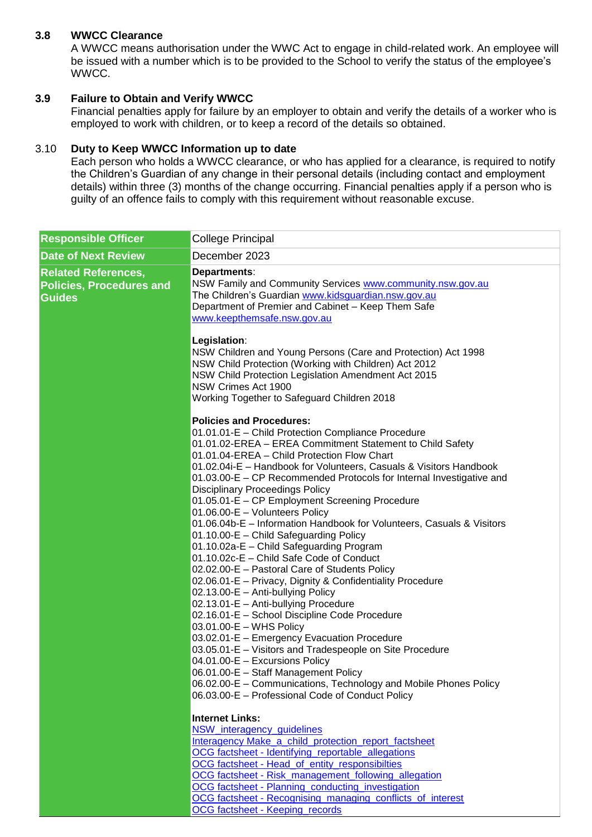## **3.8 WWCC Clearance**

A WWCC means authorisation under the WWC Act to engage in child-related work. An employee will be issued with a number which is to be provided to the School to verify the status of the employee's WWCC.

## **3.9 Failure to Obtain and Verify WWCC**

Financial penalties apply for failure by an employer to obtain and verify the details of a worker who is employed to work with children, or to keep a record of the details so obtained.

## 3.10 **Duty to Keep WWCC Information up to date**

Each person who holds a WWCC clearance, or who has applied for a clearance, is required to notify the Children's Guardian of any change in their personal details (including contact and employment details) within three (3) months of the change occurring. Financial penalties apply if a person who is guilty of an offence fails to comply with this requirement without reasonable excuse.

| <b>Responsible Officer</b>                                                     | <b>College Principal</b>                                                                                                                                                                                                                                                                                                                                                                                                                                                                                                                                                                                                                                                                                                                                                                                                                                                                                                                                                                                                                                                                                                                             |
|--------------------------------------------------------------------------------|------------------------------------------------------------------------------------------------------------------------------------------------------------------------------------------------------------------------------------------------------------------------------------------------------------------------------------------------------------------------------------------------------------------------------------------------------------------------------------------------------------------------------------------------------------------------------------------------------------------------------------------------------------------------------------------------------------------------------------------------------------------------------------------------------------------------------------------------------------------------------------------------------------------------------------------------------------------------------------------------------------------------------------------------------------------------------------------------------------------------------------------------------|
| <b>Date of Next Review</b>                                                     | December 2023                                                                                                                                                                                                                                                                                                                                                                                                                                                                                                                                                                                                                                                                                                                                                                                                                                                                                                                                                                                                                                                                                                                                        |
| <b>Related References,</b><br><b>Policies, Procedures and</b><br><b>Guides</b> | Departments:<br>NSW Family and Community Services www.community.nsw.gov.au<br>The Children's Guardian www.kidsguardian.nsw.gov.au<br>Department of Premier and Cabinet - Keep Them Safe<br>www.keepthemsafe.nsw.gov.au                                                                                                                                                                                                                                                                                                                                                                                                                                                                                                                                                                                                                                                                                                                                                                                                                                                                                                                               |
|                                                                                | Legislation:<br>NSW Children and Young Persons (Care and Protection) Act 1998<br>NSW Child Protection (Working with Children) Act 2012<br>NSW Child Protection Legislation Amendment Act 2015<br>NSW Crimes Act 1900<br>Working Together to Safeguard Children 2018                                                                                                                                                                                                                                                                                                                                                                                                                                                                                                                                                                                                                                                                                                                                                                                                                                                                                  |
|                                                                                |                                                                                                                                                                                                                                                                                                                                                                                                                                                                                                                                                                                                                                                                                                                                                                                                                                                                                                                                                                                                                                                                                                                                                      |
|                                                                                | <b>Policies and Procedures:</b><br>01.01.01-E - Child Protection Compliance Procedure<br>01.01.02-EREA - EREA Commitment Statement to Child Safety<br>01.01.04-EREA - Child Protection Flow Chart<br>01.02.04i-E - Handbook for Volunteers, Casuals & Visitors Handbook<br>01.03.00-E – CP Recommended Protocols for Internal Investigative and<br><b>Disciplinary Proceedings Policy</b><br>01.05.01-E - CP Employment Screening Procedure<br>01.06.00-E - Volunteers Policy<br>01.06.04b-E - Information Handbook for Volunteers, Casuals & Visitors<br>01.10.00-E - Child Safeguarding Policy<br>01.10.02a-E - Child Safeguarding Program<br>01.10.02c-E - Child Safe Code of Conduct<br>02.02.00-E - Pastoral Care of Students Policy<br>02.06.01-E - Privacy, Dignity & Confidentiality Procedure<br>02.13.00-E - Anti-bullying Policy<br>02.13.01-E - Anti-bullying Procedure<br>02.16.01-E - School Discipline Code Procedure<br>03.01.00-E - WHS Policy<br>03.02.01-E - Emergency Evacuation Procedure<br>03.05.01-E - Visitors and Tradespeople on Site Procedure<br>04.01.00-E - Excursions Policy<br>06.01.00-E - Staff Management Policy |
|                                                                                | 06.02.00-E - Communications, Technology and Mobile Phones Policy                                                                                                                                                                                                                                                                                                                                                                                                                                                                                                                                                                                                                                                                                                                                                                                                                                                                                                                                                                                                                                                                                     |
|                                                                                | 06.03.00-E - Professional Code of Conduct Policy                                                                                                                                                                                                                                                                                                                                                                                                                                                                                                                                                                                                                                                                                                                                                                                                                                                                                                                                                                                                                                                                                                     |
|                                                                                | <b>Internet Links:</b><br>NSW_interagency_guidelines<br>Interagency Make a child protection report factsheet<br>OCG factsheet - Identifying_reportable_allegations<br>OCG factsheet - Head_of_entity_responsibilties<br>OCG factsheet - Risk_management_following_allegation<br>OCG factsheet - Planning conducting investigation<br>OCG factsheet - Recognising_managing_conflicts_of_interest<br><b>OCG factsheet - Keeping_records</b>                                                                                                                                                                                                                                                                                                                                                                                                                                                                                                                                                                                                                                                                                                            |